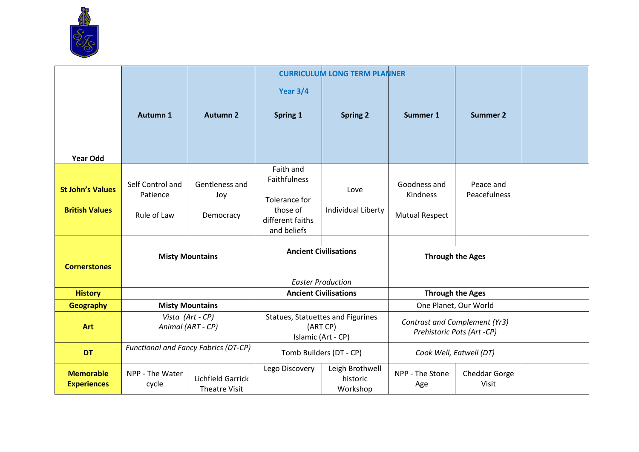

|                                                  |                                             |                                    |                                                                            | <b>CURRICULUM LONG TERM PLANNER</b>     |                                                             |                           |  |
|--------------------------------------------------|---------------------------------------------|------------------------------------|----------------------------------------------------------------------------|-----------------------------------------|-------------------------------------------------------------|---------------------------|--|
|                                                  |                                             |                                    | <b>Year 3/4</b>                                                            |                                         |                                                             |                           |  |
|                                                  | Autumn 1                                    | <b>Autumn 2</b>                    | <b>Spring 1</b>                                                            | <b>Spring 2</b>                         | Summer 1                                                    | <b>Summer 2</b>           |  |
| <b>Year Odd</b>                                  |                                             |                                    |                                                                            |                                         |                                                             |                           |  |
| <b>St John's Values</b><br><b>British Values</b> | Self Control and<br>Patience<br>Rule of Law | Gentleness and<br>Joy<br>Democracy | Faith and<br>Faithfulness<br>Tolerance for<br>those of<br>different faiths | Love<br>Individual Liberty              | Goodness and<br>Kindness<br><b>Mutual Respect</b>           | Peace and<br>Peacefulness |  |
|                                                  |                                             |                                    | and beliefs                                                                |                                         |                                                             |                           |  |
|                                                  |                                             |                                    |                                                                            |                                         |                                                             |                           |  |
|                                                  |                                             | <b>Misty Mountains</b>             |                                                                            | <b>Ancient Civilisations</b>            | <b>Through the Ages</b>                                     |                           |  |
| <b>Cornerstones</b>                              |                                             |                                    |                                                                            |                                         |                                                             |                           |  |
|                                                  |                                             |                                    |                                                                            | <b>Easter Production</b>                |                                                             |                           |  |
| <b>History</b>                                   |                                             |                                    | <b>Ancient Civilisations</b>                                               |                                         | <b>Through the Ages</b>                                     |                           |  |
| Geography                                        |                                             | <b>Misty Mountains</b>             |                                                                            |                                         |                                                             | One Planet, Our World     |  |
| <b>Art</b>                                       | Vista (Art - CP)<br>Animal (ART - CP)       |                                    | Statues, Statuettes and Figurines<br>(ART CP)<br>Islamic (Art - CP)        |                                         | Contrast and Complement (Yr3)<br>Prehistoric Pots (Art -CP) |                           |  |
| <b>DT</b>                                        | <b>Functional and Fancy Fabrics (DT-CP)</b> |                                    | Tomb Builders (DT - CP)                                                    |                                         | Cook Well, Eatwell (DT)                                     |                           |  |
| <b>Memorable</b><br><b>Experiences</b>           | NPP - The Water<br>cycle                    | Lichfield Garrick<br>Theatre Visit | Lego Discovery                                                             | Leigh Brothwell<br>historic<br>Workshop | NPP - The Stone<br>Age                                      | Cheddar Gorge<br>Visit    |  |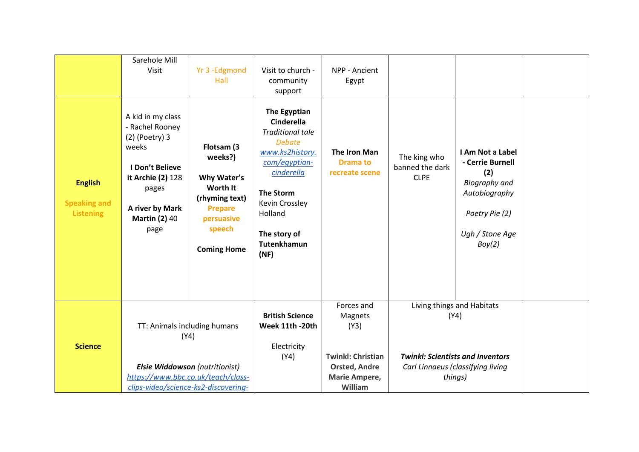|                                                           | Sarehole Mill<br>Visit                                                                                                                                                | Yr 3 -Edgmond<br>Hall                                                                                                              | Visit to church -<br>community<br>support                                                                                                                                                                                      | NPP - Ancient<br>Egypt                                                                                        |                                                                                                                               |                                                                                                                                     |  |
|-----------------------------------------------------------|-----------------------------------------------------------------------------------------------------------------------------------------------------------------------|------------------------------------------------------------------------------------------------------------------------------------|--------------------------------------------------------------------------------------------------------------------------------------------------------------------------------------------------------------------------------|---------------------------------------------------------------------------------------------------------------|-------------------------------------------------------------------------------------------------------------------------------|-------------------------------------------------------------------------------------------------------------------------------------|--|
| <b>English</b><br><b>Speaking and</b><br><b>Listening</b> | A kid in my class<br>- Rachel Rooney<br>$(2)$ (Poetry) 3<br>weeks<br>I Don't Believe<br>it Archie (2) 128<br>pages<br>A river by Mark<br><b>Martin (2) 40</b><br>page | Flotsam (3<br>weeks?)<br>Why Water's<br>Worth It<br>(rhyming text)<br><b>Prepare</b><br>persuasive<br>speech<br><b>Coming Home</b> | The Egyptian<br><b>Cinderella</b><br><b>Traditional tale</b><br><b>Debate</b><br>www.ks2history.<br>com/egyptian-<br>cinderella<br><b>The Storm</b><br>Kevin Crossley<br>Holland<br>The story of<br><b>Tutenkhamun</b><br>(NF) | The Iron Man<br><b>Drama to</b><br>recreate scene                                                             | The king who<br>banned the dark<br><b>CLPE</b>                                                                                | I Am Not a Label<br>- Cerrie Burnell<br>(2)<br><b>Biography</b> and<br>Autobiography<br>Poetry Pie (2)<br>Ugh / Stone Age<br>Boy(2) |  |
| <b>Science</b>                                            | TT: Animals including humans<br>(Y4)<br>Elsie Widdowson (nutritionist)<br>https://www.bbc.co.uk/teach/class-<br>clips-video/science-ks2-discovering-                  |                                                                                                                                    | <b>British Science</b><br>Week 11th -20th<br>Electricity<br>(Y4)                                                                                                                                                               | Forces and<br>Magnets<br>(Y3)<br><b>Twinkl: Christian</b><br><b>Orsted, Andre</b><br>Marie Ampere,<br>William | Living things and Habitats<br>(Y4)<br><b>Twinkl: Scientists and Inventors</b><br>Carl Linnaeus (classifying living<br>things) |                                                                                                                                     |  |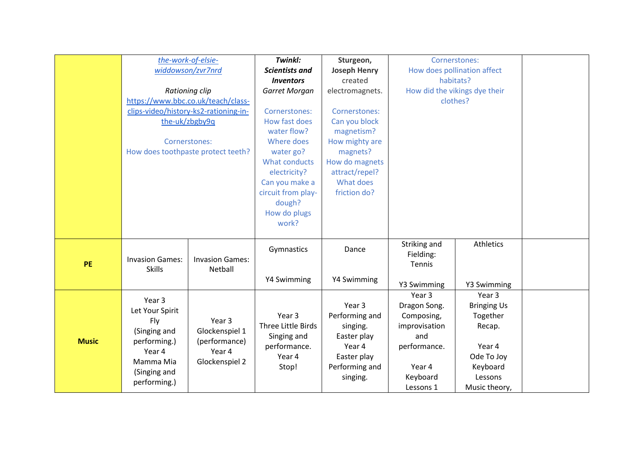|              | the-work-of-elsie-                                         |                                    | Twinkl:               | Sturgeon,           | Cornerstones:                 |                                |  |
|--------------|------------------------------------------------------------|------------------------------------|-----------------------|---------------------|-------------------------------|--------------------------------|--|
|              | widdowson/zvr7nrd                                          |                                    | <b>Scientists and</b> | <b>Joseph Henry</b> | How does pollination affect   |                                |  |
|              |                                                            |                                    | <b>Inventors</b>      | created             | habitats?                     |                                |  |
|              | Rationing clip                                             |                                    | Garret Morgan         | electromagnets.     | How did the vikings dye their |                                |  |
|              | https://www.bbc.co.uk/teach/class-                         |                                    |                       |                     | clothes?                      |                                |  |
|              | clips-video/history-ks2-rationing-in-                      |                                    | Cornerstones:         | Cornerstones:       |                               |                                |  |
|              | the-uk/zbgby9q                                             |                                    | How fast does         | Can you block       |                               |                                |  |
|              |                                                            |                                    | water flow?           | magnetism?          |                               |                                |  |
|              | Cornerstones:                                              |                                    | Where does            | How mighty are      |                               |                                |  |
|              |                                                            | How does toothpaste protect teeth? | water go?             | magnets?            |                               |                                |  |
|              |                                                            |                                    | What conducts         | How do magnets      |                               |                                |  |
|              |                                                            |                                    | electricity?          | attract/repel?      |                               |                                |  |
|              |                                                            |                                    | Can you make a        | What does           |                               |                                |  |
|              |                                                            |                                    | circuit from play-    | friction do?        |                               |                                |  |
|              |                                                            |                                    | dough?                |                     |                               |                                |  |
|              |                                                            |                                    | How do plugs          |                     |                               |                                |  |
|              |                                                            |                                    | work?                 |                     |                               |                                |  |
|              |                                                            |                                    |                       |                     |                               |                                |  |
|              | <b>Invasion Games:</b><br><b>Skills</b>                    |                                    | Gymnastics            | Dance               | Striking and                  | Athletics                      |  |
|              |                                                            | <b>Invasion Games:</b>             |                       |                     | Fielding:                     |                                |  |
| <b>PE</b>    |                                                            | Netball                            |                       |                     | Tennis                        |                                |  |
|              |                                                            |                                    | Y4 Swimming           | Y4 Swimming         |                               |                                |  |
|              |                                                            |                                    |                       |                     | Y3 Swimming                   | Y3 Swimming                    |  |
|              | Year 3                                                     |                                    |                       | Year 3              | Year 3                        | Year 3                         |  |
|              | Let Your Spirit                                            |                                    | Year 3                | Performing and      | Dragon Song.<br>Composing,    | <b>Bringing Us</b><br>Together |  |
| <b>Music</b> | Fly<br>(Singing and<br>performing.)<br>Year 4<br>Mamma Mia | Year 3                             | Three Little Birds    | singing.            | improvisation                 | Recap.                         |  |
|              |                                                            | Glockenspiel 1                     | Singing and           | Easter play         | and                           |                                |  |
|              |                                                            | (performance)                      | performance.          | Year 4              | performance.                  | Year 4                         |  |
|              |                                                            | Year 4<br>Glockenspiel 2           | Year 4                | Easter play         |                               | Ode To Joy                     |  |
|              |                                                            |                                    | Stop!                 | Performing and      | Year 4                        | Keyboard                       |  |
|              | (Singing and                                               |                                    |                       | singing.            | Keyboard                      | Lessons                        |  |
|              | performing.)                                               |                                    |                       |                     | Lessons 1                     | Music theory,                  |  |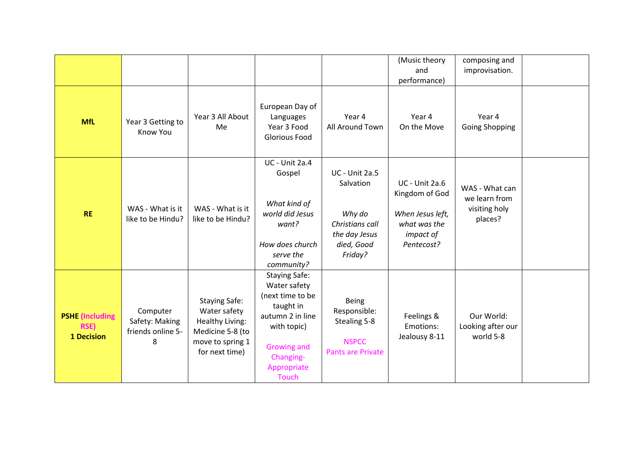|                                                     |                                                      |                                                                                                                          |                                                                                                                                                                     |                                                                                                           | (Music theory<br>and<br>performance)                                                                   | composing and<br>improvisation.                             |  |
|-----------------------------------------------------|------------------------------------------------------|--------------------------------------------------------------------------------------------------------------------------|---------------------------------------------------------------------------------------------------------------------------------------------------------------------|-----------------------------------------------------------------------------------------------------------|--------------------------------------------------------------------------------------------------------|-------------------------------------------------------------|--|
| <b>MfL</b>                                          | Year 3 Getting to<br><b>Know You</b>                 | Year 3 All About<br>Me                                                                                                   | European Day of<br>Languages<br>Year 3 Food<br><b>Glorious Food</b>                                                                                                 | Year 4<br>All Around Town                                                                                 | Year 4<br>On the Move                                                                                  | Year 4<br><b>Going Shopping</b>                             |  |
| <b>RE</b>                                           | WAS - What is it<br>like to be Hindu?                | WAS - What is it<br>like to be Hindu?                                                                                    | <b>UC</b> - Unit 2a.4<br>Gospel<br>What kind of<br>world did Jesus<br>want?<br>How does church<br>serve the<br>community?                                           | <b>UC</b> - Unit 2a.5<br>Salvation<br>Why do<br>Christians call<br>the day Jesus<br>died, Good<br>Friday? | <b>UC</b> - Unit 2a.6<br>Kingdom of God<br>When Jesus left,<br>what was the<br>impact of<br>Pentecost? | WAS - What can<br>we learn from<br>visiting holy<br>places? |  |
| <b>PSHE</b> (Including<br><b>RSE)</b><br>1 Decision | Computer<br>Safety: Making<br>friends online 5-<br>8 | <b>Staying Safe:</b><br>Water safety<br><b>Healthy Living:</b><br>Medicine 5-8 (to<br>move to spring 1<br>for next time) | <b>Staying Safe:</b><br>Water safety<br>(next time to be<br>taught in<br>autumn 2 in line<br>with topic)<br>Growing and<br>Changing-<br>Appropriate<br><b>Touch</b> | Being<br>Responsible:<br>Stealing 5-8<br><b>NSPCC</b><br><b>Pants are Private</b>                         | Feelings &<br>Emotions:<br>Jealousy 8-11                                                               | Our World:<br>Looking after our<br>world 5-8                |  |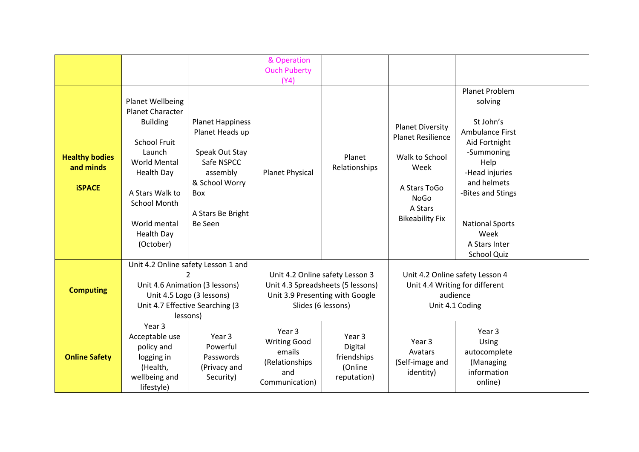|                                                     |                                                                                                                                                                                                                                         |                                                                                                                                                 | & Operation<br><b>Ouch Puberty</b>                                                 |                                                                                            |                                                                                                                                                   |                                                                                                                                                                                                                                 |  |
|-----------------------------------------------------|-----------------------------------------------------------------------------------------------------------------------------------------------------------------------------------------------------------------------------------------|-------------------------------------------------------------------------------------------------------------------------------------------------|------------------------------------------------------------------------------------|--------------------------------------------------------------------------------------------|---------------------------------------------------------------------------------------------------------------------------------------------------|---------------------------------------------------------------------------------------------------------------------------------------------------------------------------------------------------------------------------------|--|
|                                                     |                                                                                                                                                                                                                                         |                                                                                                                                                 | (Y4)                                                                               |                                                                                            |                                                                                                                                                   |                                                                                                                                                                                                                                 |  |
| <b>Healthy bodies</b><br>and minds<br><b>iSPACE</b> | Planet Wellbeing<br><b>Planet Character</b><br><b>Building</b><br><b>School Fruit</b><br>Launch<br><b>World Mental</b><br><b>Health Day</b><br>A Stars Walk to<br><b>School Month</b><br>World mental<br><b>Health Day</b><br>(October) | <b>Planet Happiness</b><br>Planet Heads up<br>Speak Out Stay<br>Safe NSPCC<br>assembly<br>& School Worry<br>Box<br>A Stars Be Bright<br>Be Seen | <b>Planet Physical</b>                                                             | Planet<br>Relationships                                                                    | <b>Planet Diversity</b><br><b>Planet Resilience</b><br>Walk to School<br>Week<br>A Stars ToGo<br><b>NoGo</b><br>A Stars<br><b>Bikeability Fix</b> | Planet Problem<br>solving<br>St John's<br>Ambulance First<br>Aid Fortnight<br>-Summoning<br>Help<br>-Head injuries<br>and helmets<br>-Bites and Stings<br><b>National Sports</b><br>Week<br>A Stars Inter<br><b>School Quiz</b> |  |
| <b>Computing</b>                                    | Unit 4.2 Online safety Lesson 1 and<br>Unit 4.6 Animation (3 lessons)<br>Unit 4.7 Effective Searching (3<br>lessons)                                                                                                                    | $\mathcal{P}$<br>Unit 4.5 Logo (3 lessons)                                                                                                      | Unit 4.2 Online safety Lesson 3                                                    | Unit 4.3 Spreadsheets (5 lessons)<br>Unit 3.9 Presenting with Google<br>Slides (6 lessons) |                                                                                                                                                   | Unit 4.2 Online safety Lesson 4<br>Unit 4.4 Writing for different<br>audience<br>Unit 4.1 Coding                                                                                                                                |  |
| <b>Online Safety</b>                                | Year 3<br>Acceptable use<br>policy and<br>logging in<br>(Health,<br>wellbeing and<br>lifestyle)                                                                                                                                         | Year 3<br>Powerful<br>Passwords<br>(Privacy and<br>Security)                                                                                    | Year 3<br><b>Writing Good</b><br>emails<br>(Relationships<br>and<br>Communication) | Year 3<br>Digital<br>friendships<br>(Online<br>reputation)                                 | Year <sub>3</sub><br>Avatars<br>(Self-image and<br>identity)                                                                                      | Year 3<br>Using<br>autocomplete<br>(Managing<br>information<br>online)                                                                                                                                                          |  |